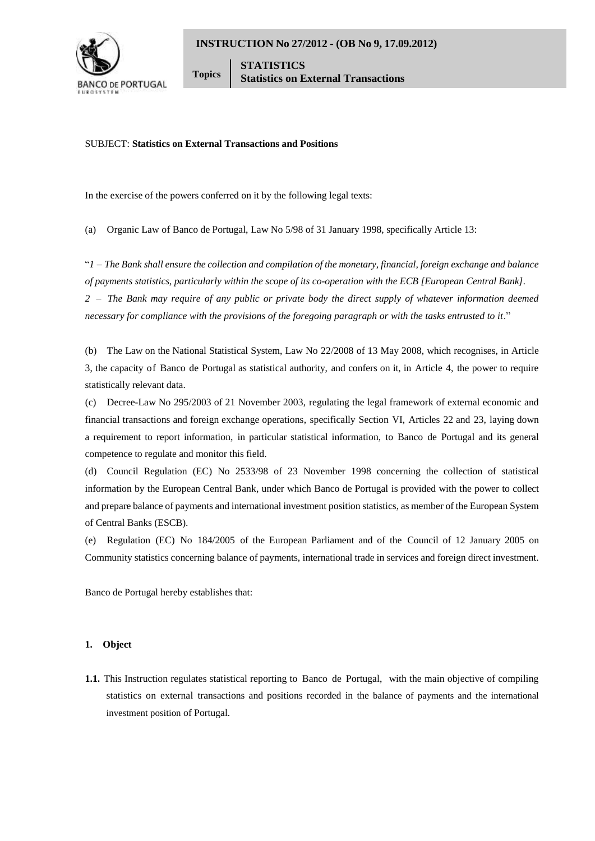

**Topics STATISTICS Statistics on External Transactions**

# SUBJECT: **Statistics on External Transactions and Positions**

In the exercise of the powers conferred on it by the following legal texts:

(a) Organic Law of Banco de Portugal, Law No 5/98 of 31 January 1998, specifically Article 13:

"*1 – The Bank shall ensure the collection and compilation of the monetary, financial, foreign exchange and balance of payments statistics, particularly within the scope of its co-operation with the ECB [European Central Bank]. 2 – The Bank may require of any public or private body the direct supply of whatever information deemed necessary for compliance with the provisions of the foregoing paragraph or with the tasks entrusted to it*."

(b) The Law on the National Statistical System, Law No 22/2008 of 13 May 2008, which recognises, in Article 3, the capacity of Banco de Portugal as statistical authority, and confers on it, in Article 4, the power to require statistically relevant data.

(c) Decree-Law No 295/2003 of 21 November 2003, regulating the legal framework of external economic and financial transactions and foreign exchange operations, specifically Section VI, Articles 22 and 23, laying down a requirement to report information, in particular statistical information, to Banco de Portugal and its general competence to regulate and monitor this field.

(d) Council Regulation (EC) No 2533/98 of 23 November 1998 concerning the collection of statistical information by the European Central Bank, under which Banco de Portugal is provided with the power to collect and prepare balance of payments and international investment position statistics, as member of the European System of Central Banks (ESCB).

(e) Regulation (EC) No 184/2005 of the European Parliament and of the Council of 12 January 2005 on Community statistics concerning balance of payments, international trade in services and foreign direct investment.

Banco de Portugal hereby establishes that:

### **1. Object**

**1.1.** This Instruction regulates statistical reporting to Banco de Portugal, with the main objective of compiling statistics on external transactions and positions recorded in the balance of payments and the international investment position of Portugal.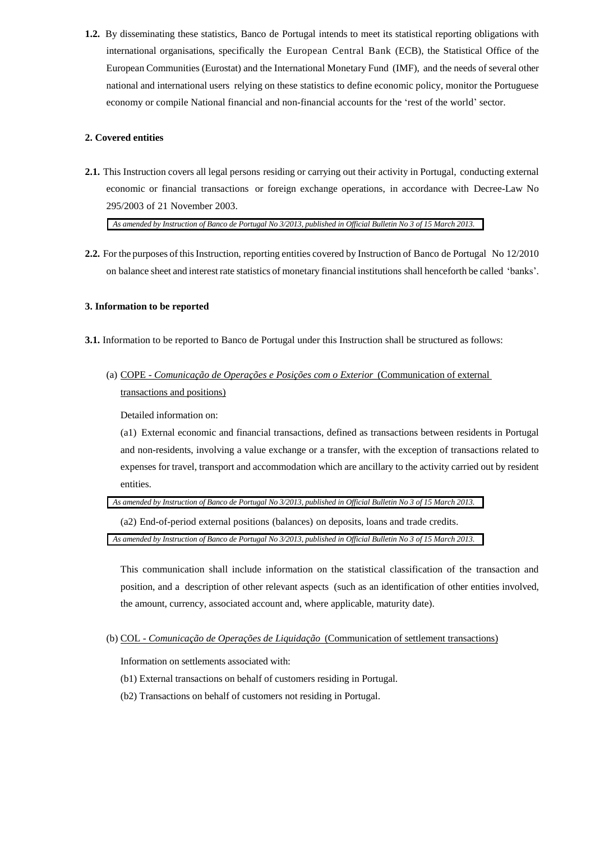**1.2.** By disseminating these statistics, Banco de Portugal intends to meet its statistical reporting obligations with international organisations, specifically the European Central Bank (ECB), the Statistical Office of the European Communities (Eurostat) and the International Monetary Fund (IMF), and the needs of several other national and international users relying on these statistics to define economic policy, monitor the Portuguese economy or compile National financial and non-financial accounts for the 'rest of the world' sector.

# **2. Covered entities**

**2.1.** This Instruction covers all legal persons residing or carrying out their activity in Portugal, conducting external economic or financial transactions or foreign exchange operations, in accordance with Decree-Law No 295/2003 of 21 November 2003.

*As amended by Instruction of Banco de Portugal No 3/2013, published in Official Bulletin No 3 of 15 March 2013.*

**2.2.** For the purposes of this Instruction, reporting entities covered by Instruction of Banco de Portugal No 12/2010 on balance sheet and interest rate statistics of monetary financial institutions shall henceforth be called 'banks'.

# **3. Information to be reported**

- **3.1.** Information to be reported to Banco de Portugal under this Instruction shall be structured as follows:
	- (a) COPE *Comunicação de Operações e Posições com o Exterior* (Communication of external transactions and positions)

Detailed information on:

(a1) External economic and financial transactions, defined as transactions between residents in Portugal and non-residents, involving a value exchange or a transfer, with the exception of transactions related to expenses for travel, transport and accommodation which are ancillary to the activity carried out by resident entities.

*As amended by Instruction of Banco de Portugal No 3/2013, published in Official Bulletin No 3 of 15 March 2013.*

(a2) End-of-period external positions (balances) on deposits, loans and trade credits.

*As amended by Instruction of Banco de Portugal No 3/2013, published in Official Bulletin No 3 of 15 March 2013.*

This communication shall include information on the statistical classification of the transaction and position, and a description of other relevant aspects (such as an identification of other entities involved, the amount, currency, associated account and, where applicable, maturity date).

(b) COL - *Comunicação de Operações de Liquidação* (Communication of settlement transactions)

Information on settlements associated with:

- (b1) External transactions on behalf of customers residing in Portugal.
- (b2) Transactions on behalf of customers not residing in Portugal.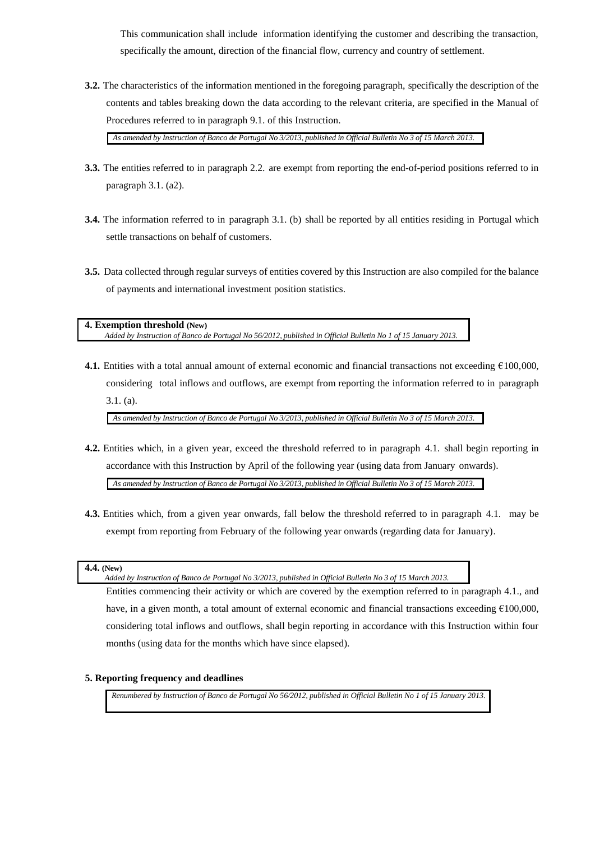This communication shall include information identifying the customer and describing the transaction, specifically the amount, direction of the financial flow, currency and country of settlement.

**3.2.** The characteristics of the information mentioned in the foregoing paragraph, specifically the description of the contents and tables breaking down the data according to the relevant criteria, are specified in the Manual of Procedures referred to in paragraph 9.1. of this Instruction.

*As amended by Instruction of Banco de Portugal No 3/2013, published in Official Bulletin No 3 of 15 March 2013.*

- **3.3.** The entities referred to in paragraph 2.2. are exempt from reporting the end-of-period positions referred to in paragraph 3.1. (a2).
- **3.4.** The information referred to in paragraph 3.1. (b) shall be reported by all entities residing in Portugal which settle transactions on behalf of customers.
- **3.5.** Data collected through regular surveys of entities covered by this Instruction are also compiled for the balance of payments and international investment position statistics.

**4. Exemption threshold (New)** *Added by Instruction of Banco de Portugal No 56/2012, published in Official Bulletin No 1 of 15 January 2013.*

**4.1.** Entities with a total annual amount of external economic and financial transactions not exceeding €100,000, considering total inflows and outflows, are exempt from reporting the information referred to in paragraph 3.1. (a).

*As amended by Instruction of Banco de Portugal No 3/2013, published in Official Bulletin No 3 of 15 March 2013.*

**4.2.** Entities which, in a given year, exceed the threshold referred to in paragraph 4.1. shall begin reporting in accordance with this Instruction by April of the following year (using data from January onwards).

*As amended by Instruction of Banco de Portugal No 3/2013, published in Official Bulletin No 3 of 15 March 2013.*

**4.3.** Entities which, from a given year onwards, fall below the threshold referred to in paragraph 4.1. may be exempt from reporting from February of the following year onwards (regarding data for January).

*Added by Instruction of Banco de Portugal No 3/2013, published in Official Bulletin No 3 of 15 March 2013.*

Entities commencing their activity or which are covered by the exemption referred to in paragraph 4.1., and have, in a given month, a total amount of external economic and financial transactions exceeding €100,000, considering total inflows and outflows, shall begin reporting in accordance with this Instruction within four months (using data for the months which have since elapsed).

# **5. Reporting frequency and deadlines**

*Renumbered by Instruction of Banco de Portugal No 56/2012, published in Official Bulletin No 1 of 15 January 2013.*

**<sup>4.4.</sup> (New)**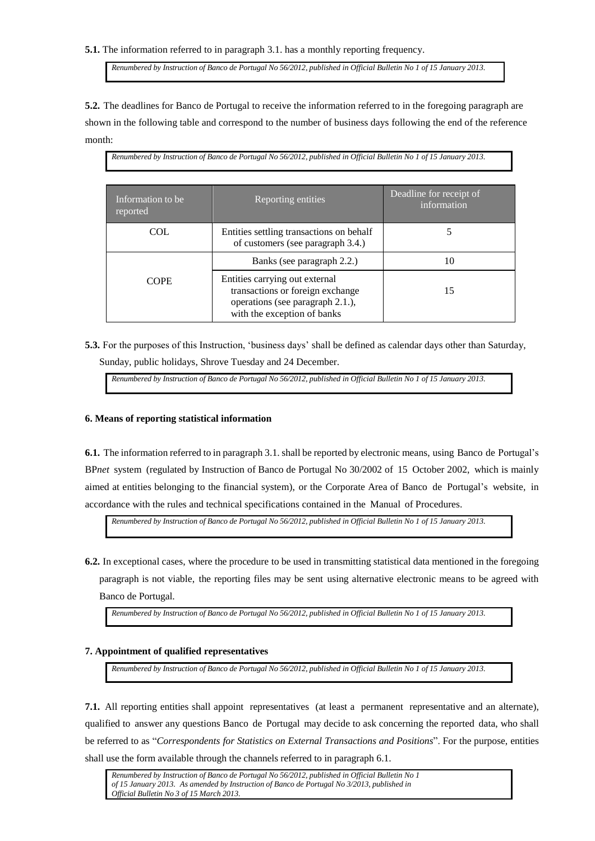**5.1.** The information referred to in paragraph 3.1. has a monthly reporting frequency.

*Renumbered by Instruction of Banco de Portugal No 56/2012, published in Official Bulletin No 1 of 15 January 2013.*

**5.2.** The deadlines for Banco de Portugal to receive the information referred to in the foregoing paragraph are shown in the following table and correspond to the number of business days following the end of the reference month:

*Renumbered by Instruction of Banco de Portugal No 56/2012, published in Official Bulletin No 1 of 15 January 2013.*

| Information to be.<br>reported | Reporting entities                                                                                                                    | Deadline for receipt of<br>information |
|--------------------------------|---------------------------------------------------------------------------------------------------------------------------------------|----------------------------------------|
| COL                            | Entities settling transactions on behalf<br>of customers (see paragraph 3.4.)                                                         |                                        |
|                                | Banks (see paragraph 2.2.)                                                                                                            | 10                                     |
| <b>COPE</b>                    | Entities carrying out external<br>transactions or foreign exchange<br>operations (see paragraph 2.1.),<br>with the exception of banks | 15                                     |

**5.3.** For the purposes of this Instruction, 'business days' shall be defined as calendar days other than Saturday, Sunday, public holidays, Shrove Tuesday and 24 December.

*Renumbered by Instruction of Banco de Portugal No 56/2012, published in Official Bulletin No 1 of 15 January 2013.*

#### **6. Means of reporting statistical information**

**6.1.** The information referred to in paragraph 3.1. shall be reported by electronic means, using Banco de Portugal's BP*net* system (regulated by Instruction of Banco de Portugal No 30/2002 of 15 October 2002, which is mainly aimed at entities belonging to the financial system), or the Corporate Area of Banco de Portugal's website, in accordance with the rules and technical specifications contained in the Manual of Procedures.

*Renumbered by Instruction of Banco de Portugal No 56/2012, published in Official Bulletin No 1 of 15 January 2013.*

**6.2.** In exceptional cases, where the procedure to be used in transmitting statistical data mentioned in the foregoing paragraph is not viable, the reporting files may be sent using alternative electronic means to be agreed with Banco de Portugal.

*Renumbered by Instruction of Banco de Portugal No 56/2012, published in Official Bulletin No 1 of 15 January 2013.*

# **7. Appointment of qualified representatives**

*Renumbered by Instruction of Banco de Portugal No 56/2012, published in Official Bulletin No 1 of 15 January 2013.*

**7.1.** All reporting entities shall appoint representatives (at least a permanent representative and an alternate), qualified to answer any questions Banco de Portugal may decide to ask concerning the reported data, who shall be referred to as "*Correspondents for Statistics on External Transactions and Positions*". For the purpose, entities shall use the form available through the channels referred to in paragraph 6.1.

*Renumbered by Instruction of Banco de Portugal No 56/2012, published in Official Bulletin No 1 of 15 January 2013. As amended by Instruction of Banco de Portugal No 3/2013, published in Official Bulletin No 3 of 15 March 2013.*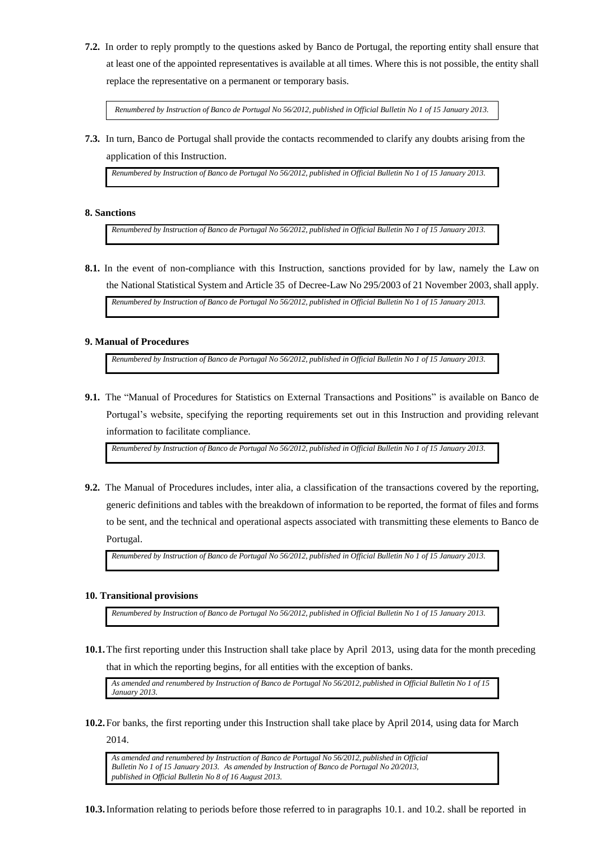**7.2.** In order to reply promptly to the questions asked by Banco de Portugal, the reporting entity shall ensure that at least one of the appointed representatives is available at all times. Where this is not possible, the entity shall replace the representative on a permanent or temporary basis.

*Renumbered by Instruction of Banco de Portugal No 56/2012, published in Official Bulletin No 1 of 15 January 2013.*

**7.3.** In turn, Banco de Portugal shall provide the contacts recommended to clarify any doubts arising from the application of this Instruction.

*Renumbered by Instruction of Banco de Portugal No 56/2012, published in Official Bulletin No 1 of 15 January 2013.*

# **8. Sanctions**

*Renumbered by Instruction of Banco de Portugal No 56/2012, published in Official Bulletin No 1 of 15 January 2013.*

**8.1.** In the event of non-compliance with this Instruction, sanctions provided for by law, namely the Law on the National Statistical System and Article 35 of Decree-Law No 295/2003 of 21 November 2003, shall apply.

*Renumbered by Instruction of Banco de Portugal No 56/2012, published in Official Bulletin No 1 of 15 January 2013.*

#### **9. Manual of Procedures**

*Renumbered by Instruction of Banco de Portugal No 56/2012, published in Official Bulletin No 1 of 15 January 2013.*

**9.1.** The "Manual of Procedures for Statistics on External Transactions and Positions" is available on Banco de Portugal's website, specifying the reporting requirements set out in this Instruction and providing relevant information to facilitate compliance.

*Renumbered by Instruction of Banco de Portugal No 56/2012, published in Official Bulletin No 1 of 15 January 2013.*

**9.2.** The Manual of Procedures includes, inter alia, a classification of the transactions covered by the reporting, generic definitions and tables with the breakdown of information to be reported, the format of files and forms to be sent, and the technical and operational aspects associated with transmitting these elements to Banco de Portugal.

*Renumbered by Instruction of Banco de Portugal No 56/2012, published in Official Bulletin No 1 of 15 January 2013.*

### **10. Transitional provisions**

*Renumbered by Instruction of Banco de Portugal No 56/2012, published in Official Bulletin No 1 of 15 January 2013.*

**10.1.**The first reporting under this Instruction shall take place by April 2013, using data for the month preceding that in which the reporting begins, for all entities with the exception of banks.

*As amended and renumbered by Instruction of Banco de Portugal No 56/2012, published in Official Bulletin No 1 of 15 January 2013.*

**10.2.**For banks, the first reporting under this Instruction shall take place by April 2014, using data for March 2014.

*As amended and renumbered by Instruction of Banco de Portugal No 56/2012, published in Official Bulletin No 1 of 15 January 2013. As amended by Instruction of Banco de Portugal No 20/2013, published in Official Bulletin No 8 of 16 August 2013.*